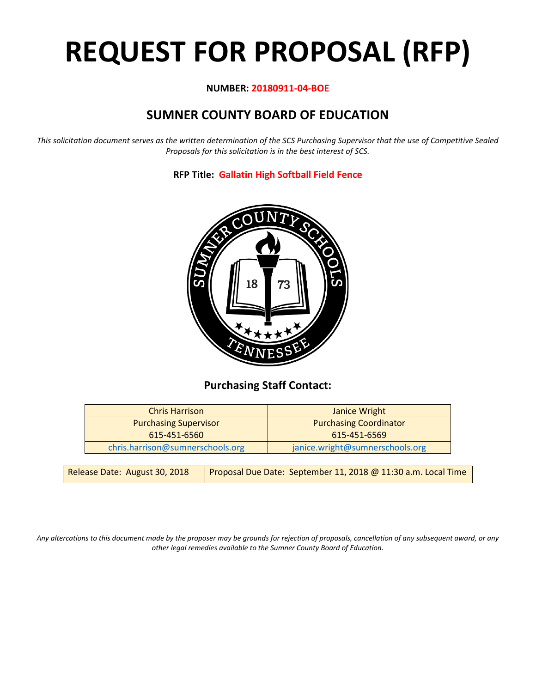# **REQUEST FOR PROPOSAL (RFP)**

# **NUMBER: 20180911-04-BOE**

# **SUMNER COUNTY BOARD OF EDUCATION**

*This solicitation document serves as the written determination of the SCS Purchasing Supervisor that the use of Competitive Sealed Proposals for this solicitation is in the best interest of SCS.*

**RFP Title: Gallatin High Softball Field Fence**



# **Purchasing Staff Contact:**

| <b>Chris Harrison</b>            | Janice Wright                   |
|----------------------------------|---------------------------------|
| <b>Purchasing Supervisor</b>     | <b>Purchasing Coordinator</b>   |
| 615-451-6560                     | 615-451-6569                    |
| chris.harrison@sumnerschools.org | janice.wright@sumnerschools.org |

| Release Date: August 30, 2018 | Proposal Due Date: September 11, 2018 @ 11:30 a.m. Local Time |
|-------------------------------|---------------------------------------------------------------|
|-------------------------------|---------------------------------------------------------------|

*Any altercations to this document made by the proposer may be grounds for rejection of proposals, cancellation of any subsequent award, or any other legal remedies available to the Sumner County Board of Education.*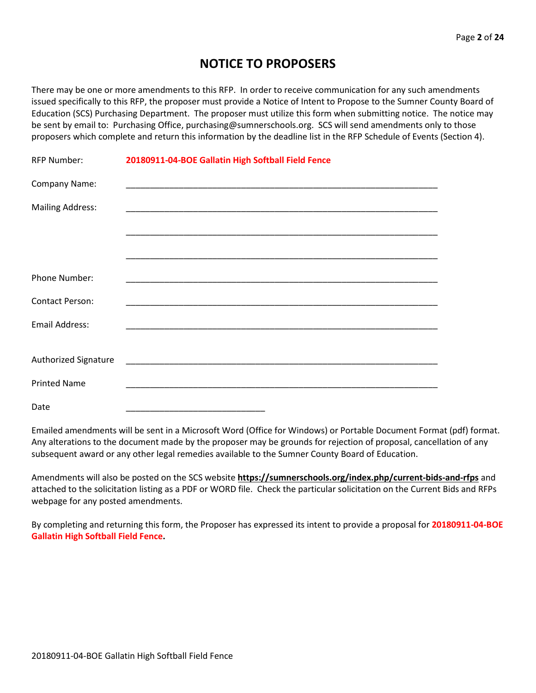# **NOTICE TO PROPOSERS**

There may be one or more amendments to this RFP. In order to receive communication for any such amendments issued specifically to this RFP, the proposer must provide a Notice of Intent to Propose to the Sumner County Board of Education (SCS) Purchasing Department. The proposer must utilize this form when submitting notice. The notice may be sent by email to: Purchasing Office, purchasing@sumnerschools.org. SCS will send amendments only to those proposers which complete and return this information by the deadline list in the RFP Schedule of Events (Section 4).

| <b>RFP Number:</b>      | 20180911-04-BOE Gallatin High Softball Field Fence |
|-------------------------|----------------------------------------------------|
| Company Name:           |                                                    |
| <b>Mailing Address:</b> |                                                    |
|                         |                                                    |
|                         |                                                    |
| Phone Number:           |                                                    |
| <b>Contact Person:</b>  |                                                    |
| <b>Email Address:</b>   |                                                    |
|                         |                                                    |
| Authorized Signature    |                                                    |
| <b>Printed Name</b>     |                                                    |
| Date                    |                                                    |

Emailed amendments will be sent in a Microsoft Word (Office for Windows) or Portable Document Format (pdf) format. Any alterations to the document made by the proposer may be grounds for rejection of proposal, cancellation of any subsequent award or any other legal remedies available to the Sumner County Board of Education.

Amendments will also be posted on the SCS website **https://sumnerschools.org/index.php/current-bids-and-rfps** and attached to the solicitation listing as a PDF or WORD file. Check the particular solicitation on the Current Bids and RFPs webpage for any posted amendments.

By completing and returning this form, the Proposer has expressed its intent to provide a proposal for **20180911-04-BOE Gallatin High Softball Field Fence.**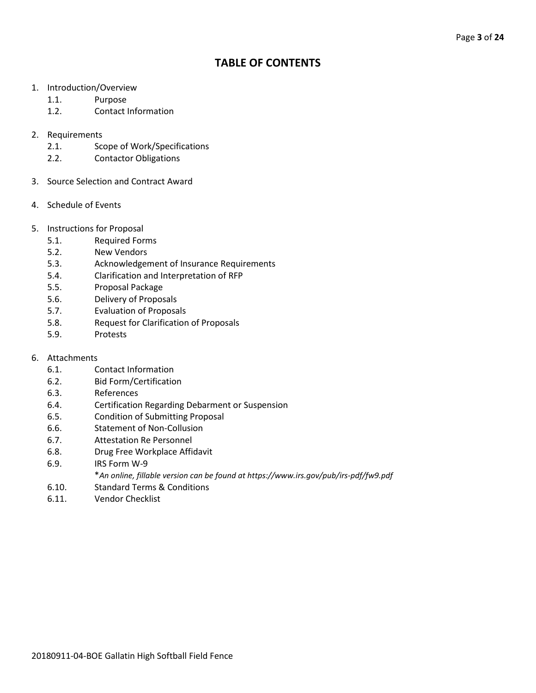# **TABLE OF CONTENTS**

- 1. Introduction/Overview
	- 1.1. Purpose
	- 1.2. Contact Information
- 2. Requirements
	- 2.1. Scope of Work/Specifications
	- 2.2. Contactor Obligations
- 3. Source Selection and Contract Award
- 4. Schedule of Events
- 5. Instructions for Proposal
	- 5.1. Required Forms
	- 5.2. New Vendors
	- 5.3. Acknowledgement of Insurance Requirements
	- 5.4. Clarification and Interpretation of RFP
	- 5.5. Proposal Package
	- 5.6. Delivery of Proposals
	- 5.7. Evaluation of Proposals
	- 5.8. Request for Clarification of Proposals
	- 5.9. Protests
- 6. Attachments
	- 6.1. Contact Information
	- 6.2. Bid Form/Certification
	- 6.3. References
	- 6.4. Certification Regarding Debarment or Suspension
	- 6.5. Condition of Submitting Proposal
	- 6.6. Statement of Non-Collusion
	- 6.7. Attestation Re Personnel
	- 6.8. Drug Free Workplace Affidavit
	- 6.9. IRS Form W-9
		- \**An online, fillable version can be found at https://www.irs.gov/pub/irs-pdf/fw9.pdf*
	- 6.10. Standard Terms & Conditions
	- 6.11. Vendor Checklist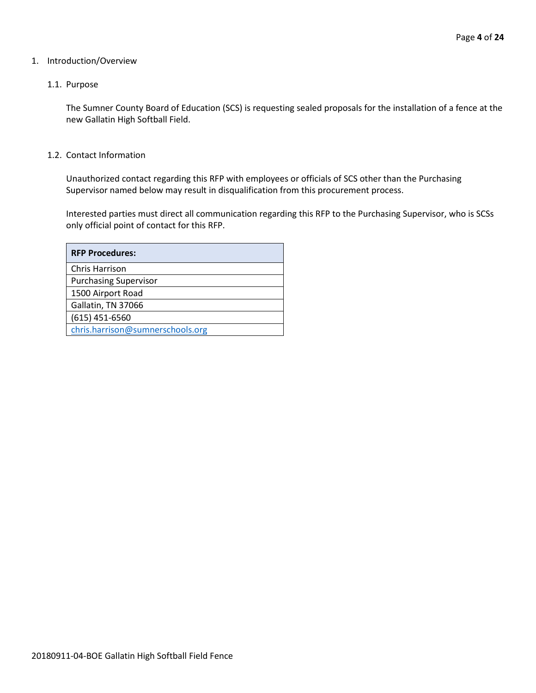#### 1. Introduction/Overview

#### 1.1. Purpose

The Sumner County Board of Education (SCS) is requesting sealed proposals for the installation of a fence at the new Gallatin High Softball Field.

#### 1.2. Contact Information

Unauthorized contact regarding this RFP with employees or officials of SCS other than the Purchasing Supervisor named below may result in disqualification from this procurement process.

Interested parties must direct all communication regarding this RFP to the Purchasing Supervisor, who is SCSs only official point of contact for this RFP.

| <b>RFP Procedures:</b>           |
|----------------------------------|
| Chris Harrison                   |
| <b>Purchasing Supervisor</b>     |
| 1500 Airport Road                |
| Gallatin, TN 37066               |
| $(615)$ 451-6560                 |
| chris.harrison@sumnerschools.org |
|                                  |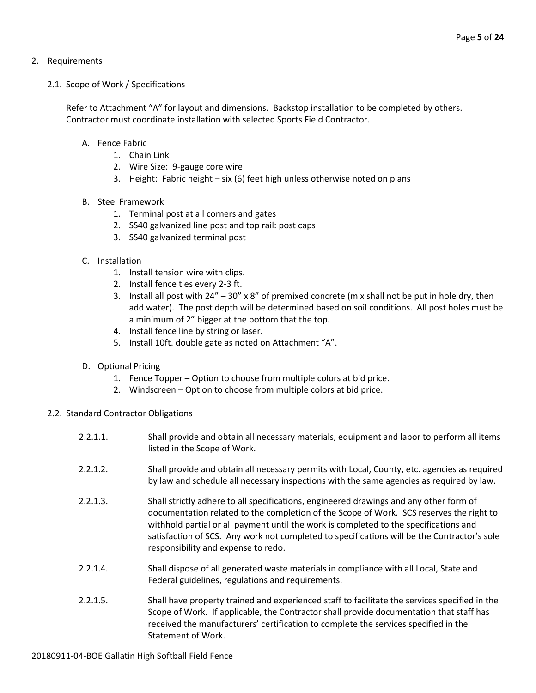# 2. Requirements

# 2.1. Scope of Work / Specifications

Refer to Attachment "A" for layout and dimensions. Backstop installation to be completed by others. Contractor must coordinate installation with selected Sports Field Contractor.

# A. Fence Fabric

- 1. Chain Link
- 2. Wire Size: 9-gauge core wire
- 3. Height: Fabric height six (6) feet high unless otherwise noted on plans

#### B. Steel Framework

- 1. Terminal post at all corners and gates
- 2. SS40 galvanized line post and top rail: post caps
- 3. SS40 galvanized terminal post

# C. Installation

- 1. Install tension wire with clips.
- 2. Install fence ties every 2-3 ft.
- 3. Install all post with 24" 30" x 8" of premixed concrete (mix shall not be put in hole dry, then add water). The post depth will be determined based on soil conditions. All post holes must be a minimum of 2" bigger at the bottom that the top.
- 4. Install fence line by string or laser.
- 5. Install 10ft. double gate as noted on Attachment "A".
- D. Optional Pricing
	- 1. Fence Topper Option to choose from multiple colors at bid price.
	- 2. Windscreen Option to choose from multiple colors at bid price.
- 2.2. Standard Contractor Obligations
	- 2.2.1.1. Shall provide and obtain all necessary materials, equipment and labor to perform all items listed in the Scope of Work.
	- 2.2.1.2. Shall provide and obtain all necessary permits with Local, County, etc. agencies as required by law and schedule all necessary inspections with the same agencies as required by law.
	- 2.2.1.3. Shall strictly adhere to all specifications, engineered drawings and any other form of documentation related to the completion of the Scope of Work. SCS reserves the right to withhold partial or all payment until the work is completed to the specifications and satisfaction of SCS. Any work not completed to specifications will be the Contractor's sole responsibility and expense to redo.
	- 2.2.1.4. Shall dispose of all generated waste materials in compliance with all Local, State and Federal guidelines, regulations and requirements.
	- 2.2.1.5. Shall have property trained and experienced staff to facilitate the services specified in the Scope of Work. If applicable, the Contractor shall provide documentation that staff has received the manufacturers' certification to complete the services specified in the Statement of Work.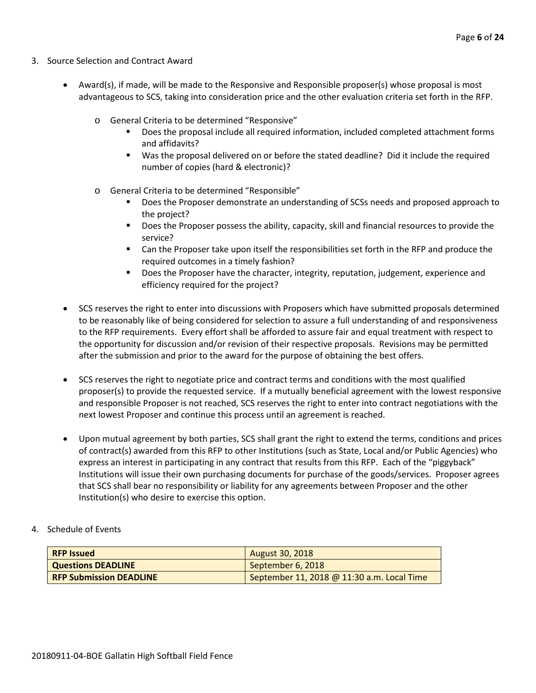- 3. Source Selection and Contract Award
	- Award(s), if made, will be made to the Responsive and Responsible proposer(s) whose proposal is most advantageous to SCS, taking into consideration price and the other evaluation criteria set forth in the RFP.
		- o General Criteria to be determined "Responsive"
			- Does the proposal include all required information, included completed attachment forms and affidavits?
			- Was the proposal delivered on or before the stated deadline? Did it include the required number of copies (hard & electronic)?
		- o General Criteria to be determined "Responsible"
			- Does the Proposer demonstrate an understanding of SCSs needs and proposed approach to the project?
			- **Does the Proposer possess the ability, capacity, skill and financial resources to provide the** service?
			- Can the Proposer take upon itself the responsibilities set forth in the RFP and produce the required outcomes in a timely fashion?
			- **Does the Proposer have the character, integrity, reputation, judgement, experience and** efficiency required for the project?
	- SCS reserves the right to enter into discussions with Proposers which have submitted proposals determined to be reasonably like of being considered for selection to assure a full understanding of and responsiveness to the RFP requirements. Every effort shall be afforded to assure fair and equal treatment with respect to the opportunity for discussion and/or revision of their respective proposals. Revisions may be permitted after the submission and prior to the award for the purpose of obtaining the best offers.
	- SCS reserves the right to negotiate price and contract terms and conditions with the most qualified proposer(s) to provide the requested service. If a mutually beneficial agreement with the lowest responsive and responsible Proposer is not reached, SCS reserves the right to enter into contract negotiations with the next lowest Proposer and continue this process until an agreement is reached.
	- Upon mutual agreement by both parties, SCS shall grant the right to extend the terms, conditions and prices of contract(s) awarded from this RFP to other Institutions (such as State, Local and/or Public Agencies) who express an interest in participating in any contract that results from this RFP. Each of the "piggyback" Institutions will issue their own purchasing documents for purchase of the goods/services. Proposer agrees that SCS shall bear no responsibility or liability for any agreements between Proposer and the other Institution(s) who desire to exercise this option.
- 4. Schedule of Events

| <b>RFP Issued</b>              | <b>August 30, 2018</b>                     |
|--------------------------------|--------------------------------------------|
| <b>Questions DEADLINE</b>      | September 6, 2018                          |
| <b>RFP Submission DEADLINE</b> | September 11, 2018 @ 11:30 a.m. Local Time |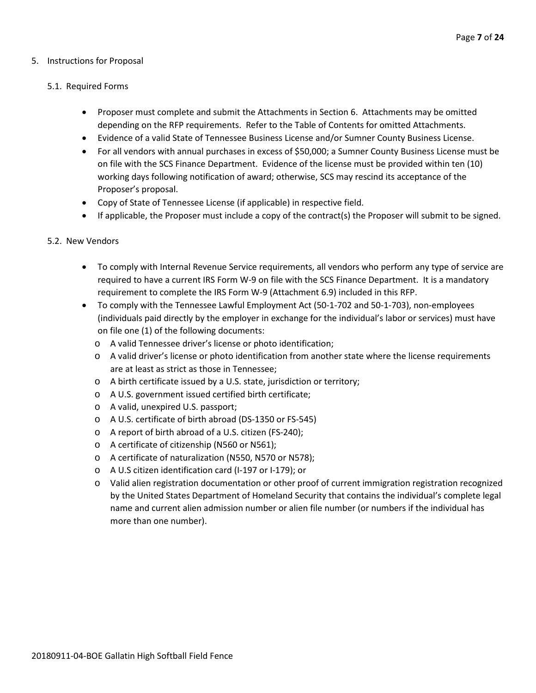#### 5. Instructions for Proposal

#### 5.1. Required Forms

- Proposer must complete and submit the Attachments in Section 6. Attachments may be omitted depending on the RFP requirements. Refer to the Table of Contents for omitted Attachments.
- Evidence of a valid State of Tennessee Business License and/or Sumner County Business License.
- For all vendors with annual purchases in excess of \$50,000; a Sumner County Business License must be on file with the SCS Finance Department. Evidence of the license must be provided within ten (10) working days following notification of award; otherwise, SCS may rescind its acceptance of the Proposer's proposal.
- Copy of State of Tennessee License (if applicable) in respective field.
- If applicable, the Proposer must include a copy of the contract(s) the Proposer will submit to be signed.

#### 5.2. New Vendors

- To comply with Internal Revenue Service requirements, all vendors who perform any type of service are required to have a current IRS Form W-9 on file with the SCS Finance Department. It is a mandatory requirement to complete the IRS Form W-9 (Attachment 6.9) included in this RFP.
- To comply with the Tennessee Lawful Employment Act (50-1-702 and 50-1-703), non-employees (individuals paid directly by the employer in exchange for the individual's labor or services) must have on file one (1) of the following documents:
	- o A valid Tennessee driver's license or photo identification;
	- o A valid driver's license or photo identification from another state where the license requirements are at least as strict as those in Tennessee;
	- o A birth certificate issued by a U.S. state, jurisdiction or territory;
	- o A U.S. government issued certified birth certificate;
	- o A valid, unexpired U.S. passport;
	- o A U.S. certificate of birth abroad (DS-1350 or FS-545)
	- o A report of birth abroad of a U.S. citizen (FS-240);
	- o A certificate of citizenship (N560 or N561);
	- o A certificate of naturalization (N550, N570 or N578);
	- o A U.S citizen identification card (I-197 or I-179); or
	- o Valid alien registration documentation or other proof of current immigration registration recognized by the United States Department of Homeland Security that contains the individual's complete legal name and current alien admission number or alien file number (or numbers if the individual has more than one number).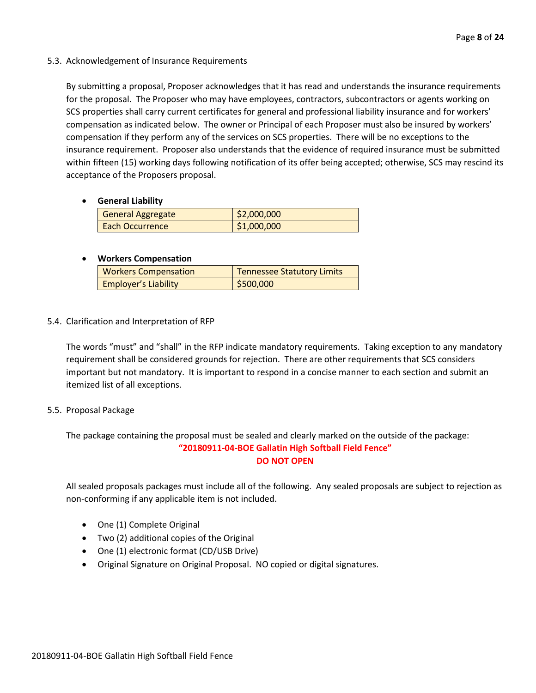#### 5.3. Acknowledgement of Insurance Requirements

By submitting a proposal, Proposer acknowledges that it has read and understands the insurance requirements for the proposal. The Proposer who may have employees, contractors, subcontractors or agents working on SCS properties shall carry current certificates for general and professional liability insurance and for workers' compensation as indicated below. The owner or Principal of each Proposer must also be insured by workers' compensation if they perform any of the services on SCS properties. There will be no exceptions to the insurance requirement. Proposer also understands that the evidence of required insurance must be submitted within fifteen (15) working days following notification of its offer being accepted; otherwise, SCS may rescind its acceptance of the Proposers proposal.

#### • **General Liability**

| <b>General Aggregate</b> | \$2,000,000 |
|--------------------------|-------------|
| Each Occurrence          | \$1,000,000 |

# • **Workers Compensation**

| <b>Workers Compensation</b> | <b>Tennessee Statutory Limits</b> |
|-----------------------------|-----------------------------------|
| <b>Employer's Liability</b> | \$500,000                         |

# 5.4. Clarification and Interpretation of RFP

The words "must" and "shall" in the RFP indicate mandatory requirements. Taking exception to any mandatory requirement shall be considered grounds for rejection. There are other requirements that SCS considers important but not mandatory. It is important to respond in a concise manner to each section and submit an itemized list of all exceptions.

#### 5.5. Proposal Package

The package containing the proposal must be sealed and clearly marked on the outside of the package: **"20180911-04-BOE Gallatin High Softball Field Fence" DO NOT OPEN**

All sealed proposals packages must include all of the following. Any sealed proposals are subject to rejection as non-conforming if any applicable item is not included.

- One (1) Complete Original
- Two (2) additional copies of the Original
- One (1) electronic format (CD/USB Drive)
- Original Signature on Original Proposal. NO copied or digital signatures.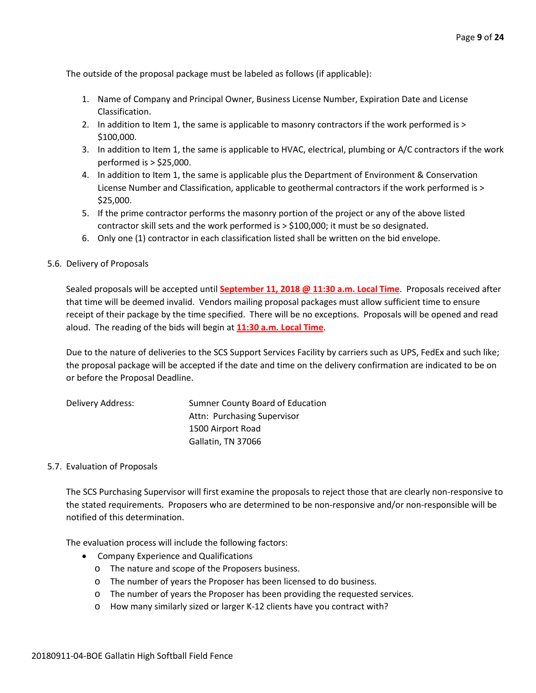The outside of the proposal package must be labeled as follows (if applicable):

- 1. Name of Company and Principal Owner, Business License Number, Expiration Date and License Classification.
- 2. In addition to Item 1, the same is applicable to masonry contractors if the work performed is > \$100,000.
- 3. In addition to Item 1, the same is applicable to HVAC, electrical, plumbing or A/C contractors if the work performed is > \$25,000.
- 4. In addition to Item 1, the same is applicable plus the Department of Environment & Conservation License Number and Classification, applicable to geothermal contractors if the work performed is > \$25,000.
- 5. If the prime contractor performs the masonry portion of the project or any of the above listed contractor skill sets and the work performed is > \$100,000; it must be so designated.
- 6. Only one (1) contractor in each classification listed shall be written on the bid envelope.

#### 5.6. Delivery of Proposals

Sealed proposals will be accepted until **September 11, 2018 @ 11:30 a.m. Local Time**. Proposals received after that time will be deemed invalid. Vendors mailing proposal packages must allow sufficient time to ensure receipt of their package by the time specified. There will be no exceptions. Proposals will be opened and read aloud. The reading of the bids will begin at **11:30 a.m. Local Time**.

Due to the nature of deliveries to the SCS Support Services Facility by carriers such as UPS, FedEx and such like; the proposal package will be accepted if the date and time on the delivery confirmation are indicated to be on or before the Proposal Deadline.

| Delivery Address: | Sumner County Board of Education |
|-------------------|----------------------------------|
|                   | Attn: Purchasing Supervisor      |
|                   | 1500 Airport Road                |
|                   | Gallatin, TN 37066               |

#### 5.7. Evaluation of Proposals

The SCS Purchasing Supervisor will first examine the proposals to reject those that are clearly non-responsive to the stated requirements. Proposers who are determined to be non-responsive and/or non-responsible will be notified of this determination.

The evaluation process will include the following factors:

- Company Experience and Qualifications
	- o The nature and scope of the Proposers business.
	- o The number of years the Proposer has been licensed to do business.
	- o The number of years the Proposer has been providing the requested services.
	- o How many similarly sized or larger K-12 clients have you contract with?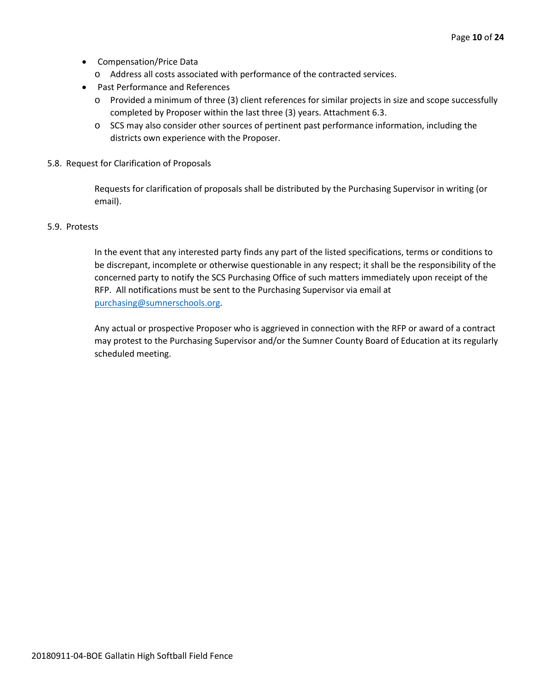- Compensation/Price Data
	- o Address all costs associated with performance of the contracted services.
- Past Performance and References
	- o Provided a minimum of three (3) client references for similar projects in size and scope successfully completed by Proposer within the last three (3) years. Attachment 6.3.
	- o SCS may also consider other sources of pertinent past performance information, including the districts own experience with the Proposer.
- 5.8. Request for Clarification of Proposals

Requests for clarification of proposals shall be distributed by the Purchasing Supervisor in writing (or email).

#### 5.9. Protests

In the event that any interested party finds any part of the listed specifications, terms or conditions to be discrepant, incomplete or otherwise questionable in any respect; it shall be the responsibility of the concerned party to notify the SCS Purchasing Office of such matters immediately upon receipt of the RFP. All notifications must be sent to the Purchasing Supervisor via email at [purchasing@sumnerschools.org.](mailto:purchasing@sumnerschools.org)

Any actual or prospective Proposer who is aggrieved in connection with the RFP or award of a contract may protest to the Purchasing Supervisor and/or the Sumner County Board of Education at its regularly scheduled meeting.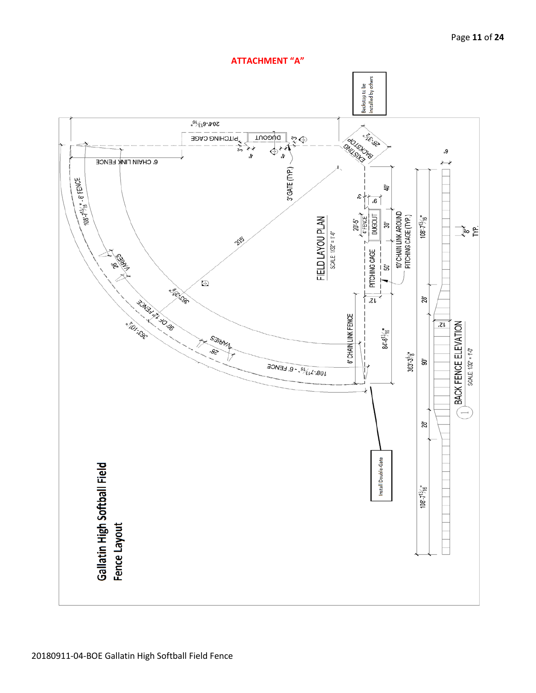

#### Page **11** of **24**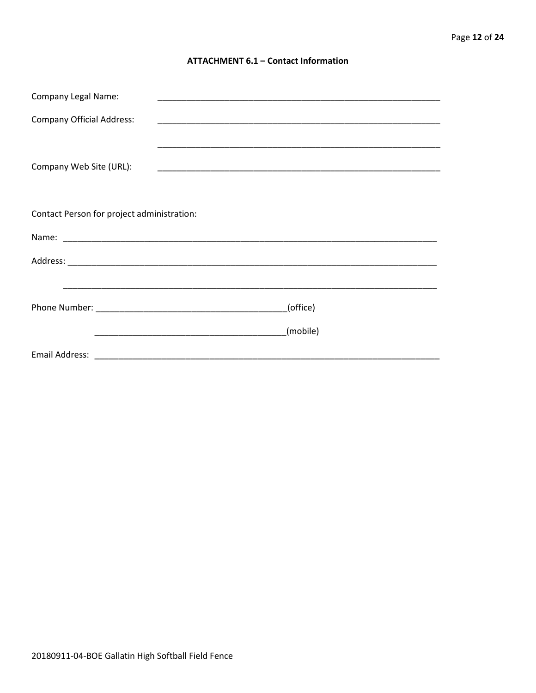#### **ATTACHMENT 6.1 - Contact Information**

| <b>Company Legal Name:</b>                 |          |
|--------------------------------------------|----------|
| <b>Company Official Address:</b>           |          |
| Company Web Site (URL):                    |          |
| Contact Person for project administration: |          |
|                                            |          |
|                                            |          |
|                                            |          |
|                                            | (office) |
|                                            | (mobile) |
|                                            |          |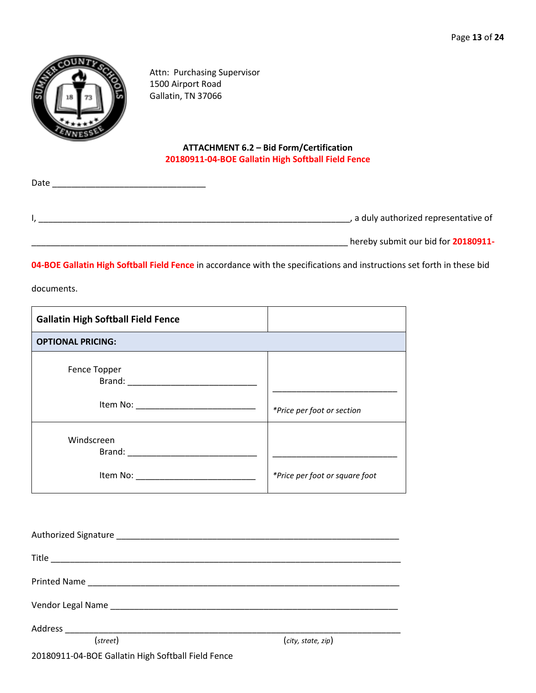

Attn: Purchasing Supervisor 1500 Airport Road Gallatin, TN 37066

# **ATTACHMENT 6.2 – Bid Form/Certification 20180911-04-BOE Gallatin High Softball Field Fence**

| Date |                                       |
|------|---------------------------------------|
|      |                                       |
|      |                                       |
|      | , a duly authorized representative of |
|      |                                       |

\_\_\_\_\_\_\_\_\_\_\_\_\_\_\_\_\_\_\_\_\_\_\_\_\_\_\_\_\_\_\_\_\_\_\_\_\_\_\_\_\_\_\_\_\_\_\_\_\_\_\_\_\_\_\_\_\_\_\_\_\_\_\_\_\_\_ hereby submit our bid for **20180911-**

**04-BOE Gallatin High Softball Field Fence** in accordance with the specifications and instructions set forth in these bid

documents.

| <b>Gallatin High Softball Field Fence</b>                                                                                                                                                                                                                                         |                                |
|-----------------------------------------------------------------------------------------------------------------------------------------------------------------------------------------------------------------------------------------------------------------------------------|--------------------------------|
| <b>OPTIONAL PRICING:</b>                                                                                                                                                                                                                                                          |                                |
| Fence Topper                                                                                                                                                                                                                                                                      | *Price per foot or section     |
| Windscreen<br>Brand: The Company of the Company of the Company of the Company of the Company of the Company of the Company of the Company of the Company of the Company of the Company of the Company of the Company of the Company of the C<br>Item No: ________________________ | *Price per foot or square foot |

| (street)                                           | (city, state, zip) |  |
|----------------------------------------------------|--------------------|--|
| 20180911-04-BOE Gallatin High Softball Field Fence |                    |  |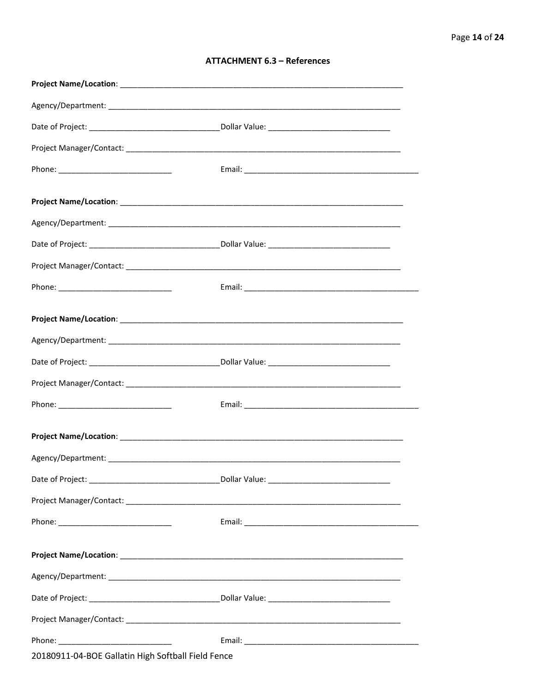#### **ATTACHMENT 6.3 - References**

| Project Name/Location: Name and Security and Security and Security and Security and Security and Security and |  |
|---------------------------------------------------------------------------------------------------------------|--|
|                                                                                                               |  |
|                                                                                                               |  |
|                                                                                                               |  |
|                                                                                                               |  |
|                                                                                                               |  |
|                                                                                                               |  |
|                                                                                                               |  |
|                                                                                                               |  |
|                                                                                                               |  |
|                                                                                                               |  |
|                                                                                                               |  |
| 20180911-04-BOE Gallatin High Softball Field Fence                                                            |  |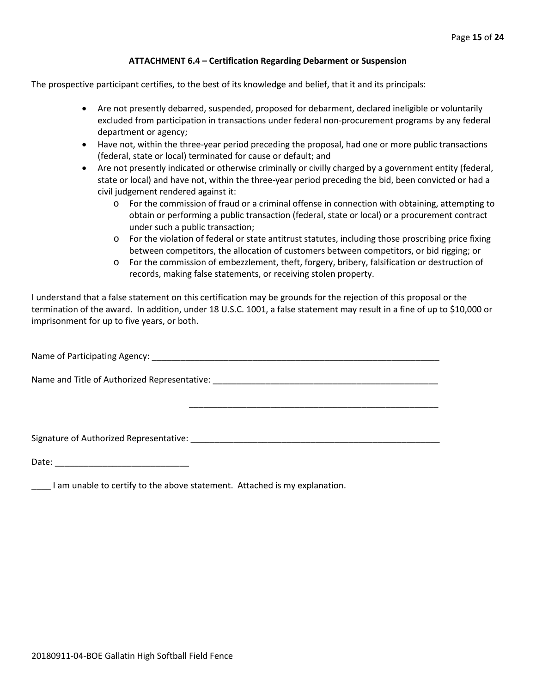#### **ATTACHMENT 6.4 – Certification Regarding Debarment or Suspension**

The prospective participant certifies, to the best of its knowledge and belief, that it and its principals:

- Are not presently debarred, suspended, proposed for debarment, declared ineligible or voluntarily excluded from participation in transactions under federal non-procurement programs by any federal department or agency;
- Have not, within the three-year period preceding the proposal, had one or more public transactions (federal, state or local) terminated for cause or default; and
- Are not presently indicated or otherwise criminally or civilly charged by a government entity (federal, state or local) and have not, within the three-year period preceding the bid, been convicted or had a civil judgement rendered against it:
	- $\circ$  For the commission of fraud or a criminal offense in connection with obtaining, attempting to obtain or performing a public transaction (federal, state or local) or a procurement contract under such a public transaction;
	- o For the violation of federal or state antitrust statutes, including those proscribing price fixing between competitors, the allocation of customers between competitors, or bid rigging; or
	- o For the commission of embezzlement, theft, forgery, bribery, falsification or destruction of records, making false statements, or receiving stolen property.

\_\_\_\_\_\_\_\_\_\_\_\_\_\_\_\_\_\_\_\_\_\_\_\_\_\_\_\_\_\_\_\_\_\_\_\_\_\_\_\_\_\_\_\_\_\_\_\_\_\_\_\_

I understand that a false statement on this certification may be grounds for the rejection of this proposal or the termination of the award. In addition, under 18 U.S.C. 1001, a false statement may result in a fine of up to \$10,000 or imprisonment for up to five years, or both.

Name of Participating Agency: \_\_\_\_\_\_\_\_\_\_\_\_\_\_\_\_\_\_\_\_\_\_\_\_\_\_\_\_\_\_\_\_\_\_\_\_\_\_\_\_\_\_\_\_\_\_\_\_\_\_\_\_\_\_\_\_\_\_\_\_

Name and Title of Authorized Representative: \_\_\_\_\_\_\_\_\_\_\_\_\_\_\_\_\_\_\_\_\_\_\_\_\_\_\_\_\_\_\_\_\_\_\_\_\_\_\_\_\_\_\_\_\_\_\_

Signature of Authorized Representative: \_\_\_\_\_\_\_\_\_\_\_\_\_\_\_\_\_\_\_\_\_\_\_\_\_\_\_\_\_\_\_\_\_\_\_\_\_\_\_\_\_\_\_\_\_\_\_\_\_\_\_\_

Date: \_\_\_\_\_\_\_\_\_\_\_\_\_\_\_\_\_\_\_\_\_\_\_\_\_\_\_\_

\_\_\_\_ I am unable to certify to the above statement. Attached is my explanation.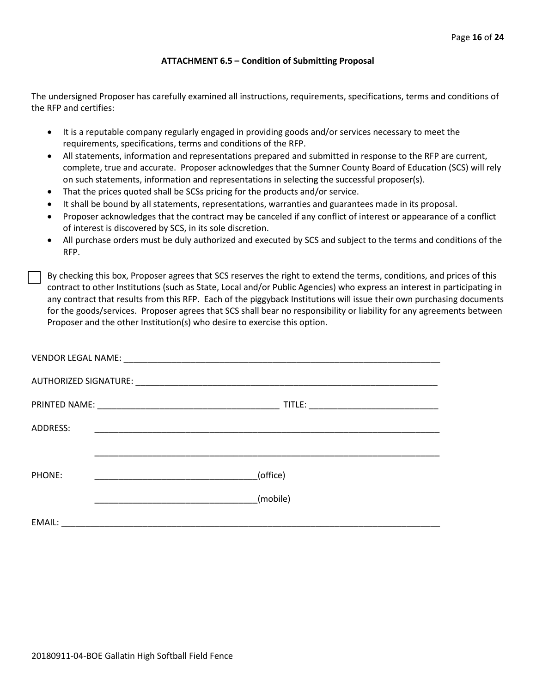#### **ATTACHMENT 6.5 – Condition of Submitting Proposal**

The undersigned Proposer has carefully examined all instructions, requirements, specifications, terms and conditions of the RFP and certifies:

- It is a reputable company regularly engaged in providing goods and/or services necessary to meet the requirements, specifications, terms and conditions of the RFP.
- All statements, information and representations prepared and submitted in response to the RFP are current, complete, true and accurate. Proposer acknowledges that the Sumner County Board of Education (SCS) will rely on such statements, information and representations in selecting the successful proposer(s).
- That the prices quoted shall be SCSs pricing for the products and/or service.
- It shall be bound by all statements, representations, warranties and guarantees made in its proposal.
- Proposer acknowledges that the contract may be canceled if any conflict of interest or appearance of a conflict of interest is discovered by SCS, in its sole discretion.
- All purchase orders must be duly authorized and executed by SCS and subject to the terms and conditions of the RFP.

By checking this box, Proposer agrees that SCS reserves the right to extend the terms, conditions, and prices of this contract to other Institutions (such as State, Local and/or Public Agencies) who express an interest in participating in any contract that results from this RFP. Each of the piggyback Institutions will issue their own purchasing documents for the goods/services. Proposer agrees that SCS shall bear no responsibility or liability for any agreements between Proposer and the other Institution(s) who desire to exercise this option.

| ADDRESS: | <u> 1999 - Johann John Stone, mars et al. 1999 - John Stone, mars et al. 1999 - John Stone, mars et al. 1999 - Joh</u> |  |
|----------|------------------------------------------------------------------------------------------------------------------------|--|
|          |                                                                                                                        |  |
| PHONE:   | (office)                                                                                                               |  |
|          | (mobile)                                                                                                               |  |
| EMAIL:   |                                                                                                                        |  |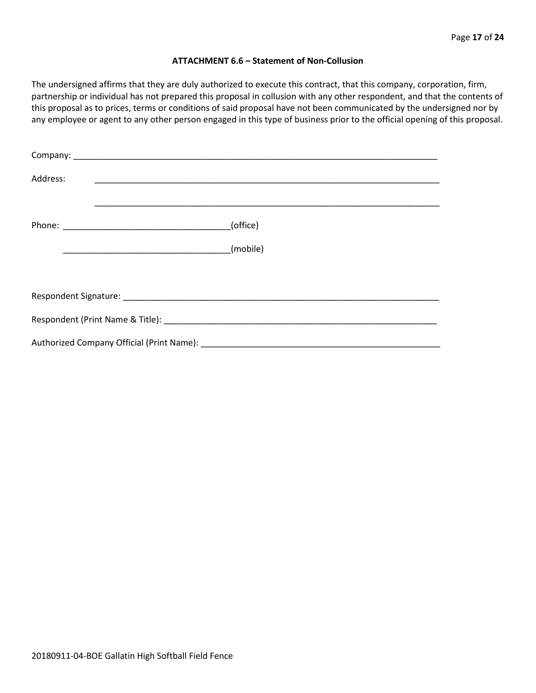#### **ATTACHMENT 6.6 – Statement of Non-Collusion**

The undersigned affirms that they are duly authorized to execute this contract, that this company, corporation, firm, partnership or individual has not prepared this proposal in collusion with any other respondent, and that the contents of this proposal as to prices, terms or conditions of said proposal have not been communicated by the undersigned nor by any employee or agent to any other person engaged in this type of business prior to the official opening of this proposal.

| Address: |          |
|----------|----------|
|          | (office) |
|          |          |
|          |          |
|          |          |
|          |          |
|          |          |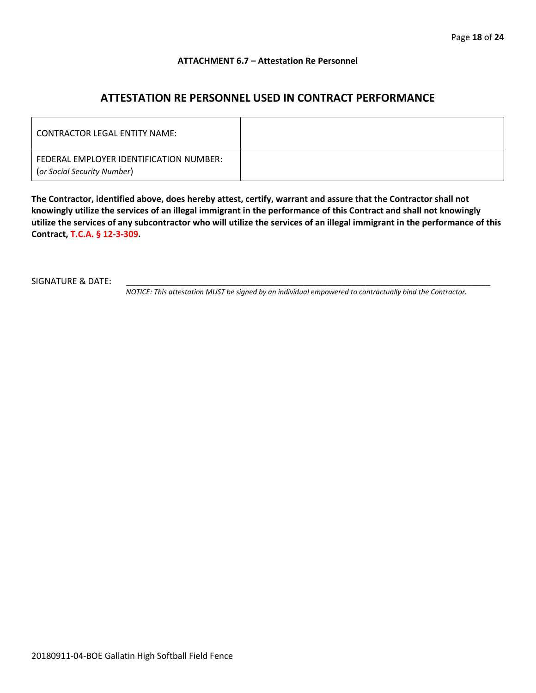#### **ATTACHMENT 6.7 – Attestation Re Personnel**

# **ATTESTATION RE PERSONNEL USED IN CONTRACT PERFORMANCE**

| CONTRACTOR LEGAL ENTITY NAME:                                          |  |
|------------------------------------------------------------------------|--|
| FEDERAL EMPLOYER IDENTIFICATION NUMBER:<br>(or Social Security Number) |  |

**The Contractor, identified above, does hereby attest, certify, warrant and assure that the Contractor shall not knowingly utilize the services of an illegal immigrant in the performance of this Contract and shall not knowingly utilize the services of any subcontractor who will utilize the services of an illegal immigrant in the performance of this Contract, T.C.A. § 12-3-309.**

SIGNATURE & DATE:

*NOTICE: This attestation MUST be signed by an individual empowered to contractually bind the Contractor.*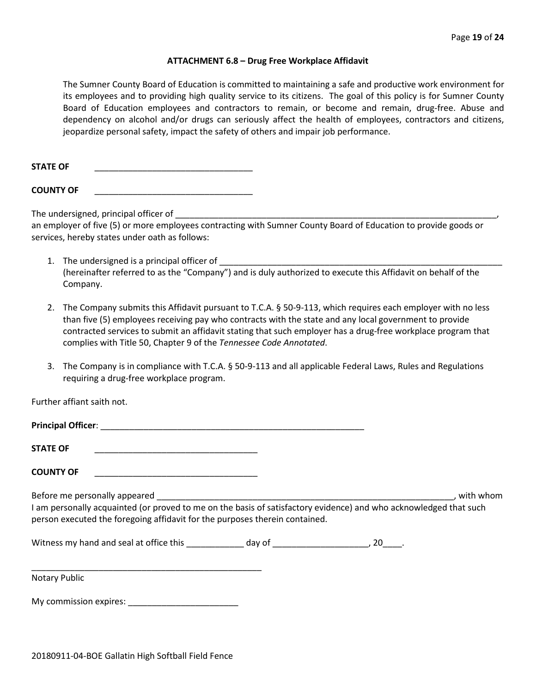#### **ATTACHMENT 6.8 – Drug Free Workplace Affidavit**

The Sumner County Board of Education is committed to maintaining a safe and productive work environment for its employees and to providing high quality service to its citizens. The goal of this policy is for Sumner County Board of Education employees and contractors to remain, or become and remain, drug-free. Abuse and dependency on alcohol and/or drugs can seriously affect the health of employees, contractors and citizens, jeopardize personal safety, impact the safety of others and impair job performance.

STATE OF

**COUNTY OF** \_\_\_\_\_\_\_\_\_\_\_\_\_\_\_\_\_\_\_\_\_\_\_\_\_\_\_\_\_\_\_\_\_

The undersigned, principal officer of

an employer of five (5) or more employees contracting with Sumner County Board of Education to provide goods or services, hereby states under oath as follows:

- 1. The undersigned is a principal officer of (hereinafter referred to as the "Company") and is duly authorized to execute this Affidavit on behalf of the Company.
- 2. The Company submits this Affidavit pursuant to T.C.A. § 50-9-113, which requires each employer with no less than five (5) employees receiving pay who contracts with the state and any local government to provide contracted services to submit an affidavit stating that such employer has a drug-free workplace program that complies with Title 50, Chapter 9 of the *Tennessee Code Annotated*.
- 3. The Company is in compliance with T.C.A. § 50-9-113 and all applicable Federal Laws, Rules and Regulations requiring a drug-free workplace program.

Further affiant saith not.

| <b>STATE OF</b><br><u> 1990 - Johann John Stein, markin fan it ferskearre fan it ferskearre fan it ferskearre fan it ferskearre fan </u>                                                                                                                                                                                                                                                                                           |  |           |
|------------------------------------------------------------------------------------------------------------------------------------------------------------------------------------------------------------------------------------------------------------------------------------------------------------------------------------------------------------------------------------------------------------------------------------|--|-----------|
| <b>COUNTY OF</b><br><u> 1990 - Johann John Stone, mars eta biztanleria (</u>                                                                                                                                                                                                                                                                                                                                                       |  |           |
| Before me personally appeared experience and the set of the set of the set of the set of the set of the set of the set of the set of the set of the set of the set of the set of the set of the set of the set of the set of t<br>I am personally acquainted (or proved to me on the basis of satisfactory evidence) and who acknowledged that such<br>person executed the foregoing affidavit for the purposes therein contained. |  | with whom |
|                                                                                                                                                                                                                                                                                                                                                                                                                                    |  |           |
| Notary Public                                                                                                                                                                                                                                                                                                                                                                                                                      |  |           |
| My commission expires: Network and the set of the set of the set of the set of the set of the set of the set o                                                                                                                                                                                                                                                                                                                     |  |           |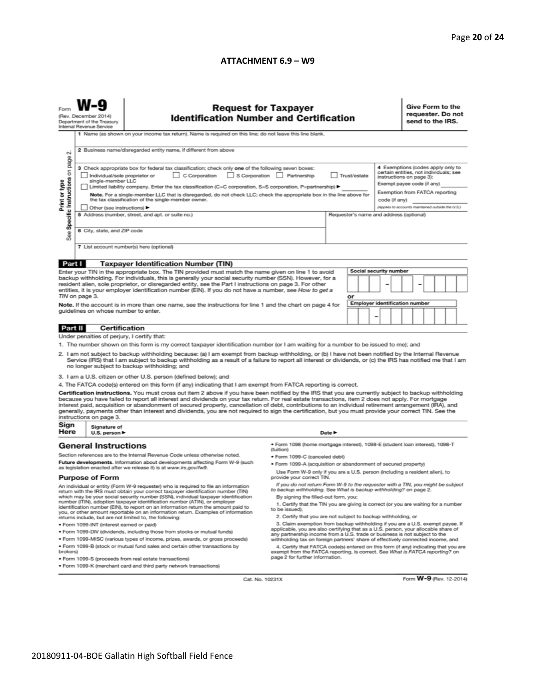#### **ATTACHMENT 6.9 – W9**

|                                                                                                                                                                                                                                                                                                                                                                                                                                                                                                                                                                                                                                                          | <b>Request for Taxpayer</b><br>(Rev. December 2014)<br><b>Identification Number and Certification</b><br>Department of the Treasury<br>Internal Revenue Service<br>1 Name (as shown on your income tax return). Name is required on this line; do not leave this line blank.                                                                                             |                                                                                                                                       |                                                                                                                                                                                                        |                                                                                                                                                     |  |  |                                                                                                      |  | Give Form to the<br>requester. Do not<br>send to the IRS.                                                                             |  |  |  |  |
|----------------------------------------------------------------------------------------------------------------------------------------------------------------------------------------------------------------------------------------------------------------------------------------------------------------------------------------------------------------------------------------------------------------------------------------------------------------------------------------------------------------------------------------------------------------------------------------------------------------------------------------------------------|--------------------------------------------------------------------------------------------------------------------------------------------------------------------------------------------------------------------------------------------------------------------------------------------------------------------------------------------------------------------------|---------------------------------------------------------------------------------------------------------------------------------------|--------------------------------------------------------------------------------------------------------------------------------------------------------------------------------------------------------|-----------------------------------------------------------------------------------------------------------------------------------------------------|--|--|------------------------------------------------------------------------------------------------------|--|---------------------------------------------------------------------------------------------------------------------------------------|--|--|--|--|
| N                                                                                                                                                                                                                                                                                                                                                                                                                                                                                                                                                                                                                                                        | 2 Business name/disregarded entity name, if different from above                                                                                                                                                                                                                                                                                                         |                                                                                                                                       |                                                                                                                                                                                                        |                                                                                                                                                     |  |  |                                                                                                      |  |                                                                                                                                       |  |  |  |  |
|                                                                                                                                                                                                                                                                                                                                                                                                                                                                                                                                                                                                                                                          | Specific Instructions on page<br>3 Check appropriate box for federal tax classification; check only one of the following seven boxes:<br>C Corporation<br>S Corporation Partnership<br>Trust/estate<br>Individual/sole proprietor or<br>single-member LLC<br>Limited liability company. Enter the tax classification (C=C corporation, S=S corporation, P=partnership) ▶ |                                                                                                                                       |                                                                                                                                                                                                        |                                                                                                                                                     |  |  |                                                                                                      |  | 4 Exemptions (codes apply only to<br>certain entities, not individuals; see<br>instructions on page 3):<br>Exempt payee code (if any) |  |  |  |  |
| Print or type<br>Note. For a single-member LLC that is disregarded, do not check LLC; check the appropriate box in the line above for<br>the tax classification of the single-member owner.<br>Other (see instructions) ▶                                                                                                                                                                                                                                                                                                                                                                                                                                |                                                                                                                                                                                                                                                                                                                                                                          |                                                                                                                                       |                                                                                                                                                                                                        |                                                                                                                                                     |  |  | Exemption from FATCA reporting<br>code (if any)<br>(Applies to accounts maintained outside the U.S.) |  |                                                                                                                                       |  |  |  |  |
| See                                                                                                                                                                                                                                                                                                                                                                                                                                                                                                                                                                                                                                                      | 5 Address (number, street, and apt. or suite no.)<br>Requester's name and address (optional)<br>6 City, state, and ZIP code                                                                                                                                                                                                                                              |                                                                                                                                       |                                                                                                                                                                                                        |                                                                                                                                                     |  |  |                                                                                                      |  |                                                                                                                                       |  |  |  |  |
| 7 List account number(s) here (optional)                                                                                                                                                                                                                                                                                                                                                                                                                                                                                                                                                                                                                 |                                                                                                                                                                                                                                                                                                                                                                          |                                                                                                                                       |                                                                                                                                                                                                        |                                                                                                                                                     |  |  |                                                                                                      |  |                                                                                                                                       |  |  |  |  |
| Part I                                                                                                                                                                                                                                                                                                                                                                                                                                                                                                                                                                                                                                                   |                                                                                                                                                                                                                                                                                                                                                                          | <b>Taxpayer Identification Number (TIN)</b>                                                                                           |                                                                                                                                                                                                        |                                                                                                                                                     |  |  |                                                                                                      |  |                                                                                                                                       |  |  |  |  |
|                                                                                                                                                                                                                                                                                                                                                                                                                                                                                                                                                                                                                                                          |                                                                                                                                                                                                                                                                                                                                                                          | Enter your TIN in the appropriate box. The TIN provided must match the name given on line 1 to avoid                                  |                                                                                                                                                                                                        |                                                                                                                                                     |  |  | Social security number                                                                               |  |                                                                                                                                       |  |  |  |  |
| backup withholding. For individuals, this is generally your social security number (SSN). However, for a<br>resident alien, sole proprietor, or disregarded entity, see the Part I instructions on page 3. For other<br>-<br>entities, it is your employer identification number (EIN). If you do not have a number, see How to get a<br>TIN on page 3.<br>or                                                                                                                                                                                                                                                                                            |                                                                                                                                                                                                                                                                                                                                                                          |                                                                                                                                       |                                                                                                                                                                                                        |                                                                                                                                                     |  |  |                                                                                                      |  |                                                                                                                                       |  |  |  |  |
|                                                                                                                                                                                                                                                                                                                                                                                                                                                                                                                                                                                                                                                          |                                                                                                                                                                                                                                                                                                                                                                          |                                                                                                                                       |                                                                                                                                                                                                        |                                                                                                                                                     |  |  | <b>Employer identification number</b>                                                                |  |                                                                                                                                       |  |  |  |  |
| Note. If the account is in more than one name, see the instructions for line 1 and the chart on page 4 for<br>guidelines on whose number to enter.<br>-                                                                                                                                                                                                                                                                                                                                                                                                                                                                                                  |                                                                                                                                                                                                                                                                                                                                                                          |                                                                                                                                       |                                                                                                                                                                                                        |                                                                                                                                                     |  |  |                                                                                                      |  |                                                                                                                                       |  |  |  |  |
| Part II                                                                                                                                                                                                                                                                                                                                                                                                                                                                                                                                                                                                                                                  | <b>Certification</b>                                                                                                                                                                                                                                                                                                                                                     |                                                                                                                                       |                                                                                                                                                                                                        |                                                                                                                                                     |  |  |                                                                                                      |  |                                                                                                                                       |  |  |  |  |
|                                                                                                                                                                                                                                                                                                                                                                                                                                                                                                                                                                                                                                                          | Under penalties of perjury, I certify that:                                                                                                                                                                                                                                                                                                                              |                                                                                                                                       |                                                                                                                                                                                                        |                                                                                                                                                     |  |  |                                                                                                      |  |                                                                                                                                       |  |  |  |  |
| 1. The number shown on this form is my correct taxpayer identification number (or I am waiting for a number to be issued to me); and<br>2. I am not subject to backup withholding because: (a) I am exempt from backup withholding, or (b) I have not been notified by the Internal Revenue<br>Service (IRS) that I am subject to backup withholding as a result of a failure to report all interest or dividends, or (c) the IRS has notified me that I am<br>no longer subject to backup withholding; and                                                                                                                                              |                                                                                                                                                                                                                                                                                                                                                                          |                                                                                                                                       |                                                                                                                                                                                                        |                                                                                                                                                     |  |  |                                                                                                      |  |                                                                                                                                       |  |  |  |  |
|                                                                                                                                                                                                                                                                                                                                                                                                                                                                                                                                                                                                                                                          |                                                                                                                                                                                                                                                                                                                                                                          | 3. I am a U.S. citizen or other U.S. person (defined below); and                                                                      |                                                                                                                                                                                                        |                                                                                                                                                     |  |  |                                                                                                      |  |                                                                                                                                       |  |  |  |  |
|                                                                                                                                                                                                                                                                                                                                                                                                                                                                                                                                                                                                                                                          |                                                                                                                                                                                                                                                                                                                                                                          | 4. The FATCA code(s) entered on this form (if any) indicating that I am exempt from FATCA reporting is correct.                       |                                                                                                                                                                                                        |                                                                                                                                                     |  |  |                                                                                                      |  |                                                                                                                                       |  |  |  |  |
| Certification instructions. You must cross out item 2 above if you have been notified by the IRS that you are currently subject to backup withholding<br>because you have failed to report all interest and dividends on your tax return. For real estate transactions, item 2 does not apply. For mortgage<br>interest paid, acquisition or abandonment of secured property, cancellation of debt, contributions to an individual retirement arrangement (IRA), and<br>generally, payments other than interest and dividends, you are not required to sign the certification, but you must provide your correct TIN. See the<br>instructions on page 3. |                                                                                                                                                                                                                                                                                                                                                                          |                                                                                                                                       |                                                                                                                                                                                                        |                                                                                                                                                     |  |  |                                                                                                      |  |                                                                                                                                       |  |  |  |  |
| Sign<br>Here                                                                                                                                                                                                                                                                                                                                                                                                                                                                                                                                                                                                                                             | Signature of<br>U.S. person ▶                                                                                                                                                                                                                                                                                                                                            |                                                                                                                                       |                                                                                                                                                                                                        | Date $\blacktriangleright$                                                                                                                          |  |  |                                                                                                      |  |                                                                                                                                       |  |  |  |  |
|                                                                                                                                                                                                                                                                                                                                                                                                                                                                                                                                                                                                                                                          | <b>General Instructions</b>                                                                                                                                                                                                                                                                                                                                              |                                                                                                                                       | · Form 1098 (home mortgage interest), 1098-E (student loan interest), 1098-T<br>(tuition)                                                                                                              |                                                                                                                                                     |  |  |                                                                                                      |  |                                                                                                                                       |  |  |  |  |
|                                                                                                                                                                                                                                                                                                                                                                                                                                                                                                                                                                                                                                                          |                                                                                                                                                                                                                                                                                                                                                                          | Section references are to the Internal Revenue Code unless otherwise noted.                                                           | · Form 1099-C (canceled debt)                                                                                                                                                                          |                                                                                                                                                     |  |  |                                                                                                      |  |                                                                                                                                       |  |  |  |  |
|                                                                                                                                                                                                                                                                                                                                                                                                                                                                                                                                                                                                                                                          |                                                                                                                                                                                                                                                                                                                                                                          | Future developments. Information about developments affecting Form W-9 (such                                                          | . Form 1099-A (acquisition or abandonment of secured property)                                                                                                                                         |                                                                                                                                                     |  |  |                                                                                                      |  |                                                                                                                                       |  |  |  |  |
| as legislation enacted after we release it) is at www.irs.gov/fw9.                                                                                                                                                                                                                                                                                                                                                                                                                                                                                                                                                                                       |                                                                                                                                                                                                                                                                                                                                                                          |                                                                                                                                       | Use Form W-9 only if you are a U.S. person (including a resident alien), to<br>provide your correct TIN.                                                                                               |                                                                                                                                                     |  |  |                                                                                                      |  |                                                                                                                                       |  |  |  |  |
| <b>Purpose of Form</b><br>If you do not return Form W-9 to the requester with a TIN, you might be subject<br>An individual or entity (Form W-9 requester) who is required to file an information                                                                                                                                                                                                                                                                                                                                                                                                                                                         |                                                                                                                                                                                                                                                                                                                                                                          |                                                                                                                                       |                                                                                                                                                                                                        |                                                                                                                                                     |  |  |                                                                                                      |  |                                                                                                                                       |  |  |  |  |
| to backup withholding. See What is backup withholding? on page 2.<br>return with the IRS must obtain your correct taxpayer identification number (TIN)<br>which may be your social security number (SSN), individual taxpayer identification<br>By signing the filled-out form, you:                                                                                                                                                                                                                                                                                                                                                                     |                                                                                                                                                                                                                                                                                                                                                                          |                                                                                                                                       |                                                                                                                                                                                                        |                                                                                                                                                     |  |  |                                                                                                      |  |                                                                                                                                       |  |  |  |  |
| number (ITIN), adoption taxpayer identification number (ATIN), or employer<br>identification number (EIN), to report on an information return the amount paid to<br>to be issued).<br>you, or other amount reportable on an information return. Examples of information                                                                                                                                                                                                                                                                                                                                                                                  |                                                                                                                                                                                                                                                                                                                                                                          |                                                                                                                                       |                                                                                                                                                                                                        | 1. Certify that the TIN you are giving is correct (or you are waiting for a number<br>2. Certify that you are not subject to backup withholding, or |  |  |                                                                                                      |  |                                                                                                                                       |  |  |  |  |
| returns include, but are not limited to, the following:<br>3. Claim exemption from backup withholding if you are a U.S. exempt payee. If<br>· Form 1099-INT (interest earned or paid)                                                                                                                                                                                                                                                                                                                                                                                                                                                                    |                                                                                                                                                                                                                                                                                                                                                                          |                                                                                                                                       |                                                                                                                                                                                                        |                                                                                                                                                     |  |  |                                                                                                      |  |                                                                                                                                       |  |  |  |  |
|                                                                                                                                                                                                                                                                                                                                                                                                                                                                                                                                                                                                                                                          |                                                                                                                                                                                                                                                                                                                                                                          | . Form 1099-DIV (dividends, including those from stocks or mutual funds)                                                              | applicable, you are also certifying that as a U.S. person, your allocable share of<br>any partnership income from a U.S. trade or business is not subject to the                                       |                                                                                                                                                     |  |  |                                                                                                      |  |                                                                                                                                       |  |  |  |  |
|                                                                                                                                                                                                                                                                                                                                                                                                                                                                                                                                                                                                                                                          |                                                                                                                                                                                                                                                                                                                                                                          | * Form 1099-MISC (various types of income, prizes, awards, or gross proceeds)                                                         | withholding tax on foreign partners' share of effectively connected income, and                                                                                                                        |                                                                                                                                                     |  |  |                                                                                                      |  |                                                                                                                                       |  |  |  |  |
| brokers)                                                                                                                                                                                                                                                                                                                                                                                                                                                                                                                                                                                                                                                 |                                                                                                                                                                                                                                                                                                                                                                          | . Form 1099-B (stock or mutual fund sales and certain other transactions by<br>· Form 1099-S (proceeds from real estate transactions) | 4. Certify that FATCA code(s) entered on this form (if any) indicating that you are<br>exempt from the FATCA reporting, is correct. See What is FATCA reporting? on<br>page 2 for further information. |                                                                                                                                                     |  |  |                                                                                                      |  |                                                                                                                                       |  |  |  |  |
| . Form 1099-K (merchant card and third party network transactions)                                                                                                                                                                                                                                                                                                                                                                                                                                                                                                                                                                                       |                                                                                                                                                                                                                                                                                                                                                                          |                                                                                                                                       |                                                                                                                                                                                                        |                                                                                                                                                     |  |  |                                                                                                      |  |                                                                                                                                       |  |  |  |  |

Cat. No. 10231X

Form **W-9** (Rev. 12-2014)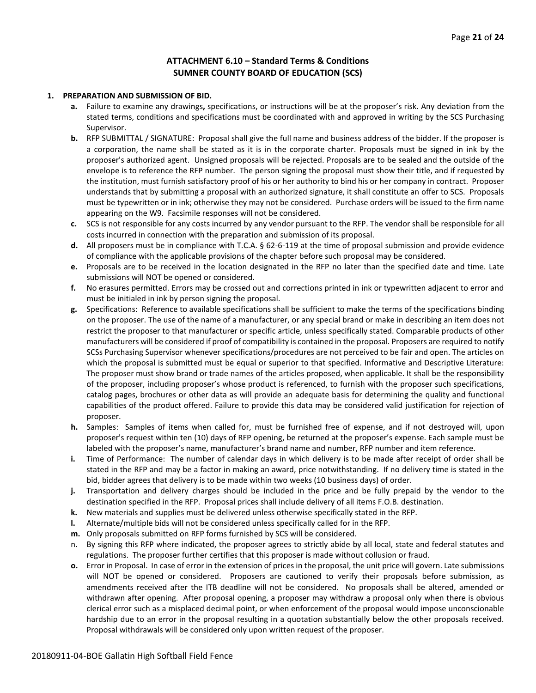### **ATTACHMENT 6.10 – Standard Terms & Conditions SUMNER COUNTY BOARD OF EDUCATION (SCS)**

#### **1. PREPARATION AND SUBMISSION OF BID.**

- **a.** Failure to examine any drawings**,** specifications, or instructions will be at the proposer's risk. Any deviation from the stated terms, conditions and specifications must be coordinated with and approved in writing by the SCS Purchasing Supervisor.
- **b.** RFP SUBMITTAL / SIGNATURE: Proposal shall give the full name and business address of the bidder. If the proposer is a corporation, the name shall be stated as it is in the corporate charter. Proposals must be signed in ink by the proposer's authorized agent. Unsigned proposals will be rejected. Proposals are to be sealed and the outside of the envelope is to reference the RFP number. The person signing the proposal must show their title, and if requested by the institution, must furnish satisfactory proof of his or her authority to bind his or her company in contract. Proposer understands that by submitting a proposal with an authorized signature, it shall constitute an offer to SCS. Proposals must be typewritten or in ink; otherwise they may not be considered. Purchase orders will be issued to the firm name appearing on the W9. Facsimile responses will not be considered.
- **c.** SCS is not responsible for any costs incurred by any vendor pursuant to the RFP. The vendor shall be responsible for all costs incurred in connection with the preparation and submission of its proposal.
- **d.** All proposers must be in compliance with T.C.A. § 62-6-119 at the time of proposal submission and provide evidence of compliance with the applicable provisions of the chapter before such proposal may be considered.
- **e.** Proposals are to be received in the location designated in the RFP no later than the specified date and time. Late submissions will NOT be opened or considered.
- **f.** No erasures permitted. Errors may be crossed out and corrections printed in ink or typewritten adjacent to error and must be initialed in ink by person signing the proposal.
- **g.** Specifications: Reference to available specifications shall be sufficient to make the terms of the specifications binding on the proposer. The use of the name of a manufacturer, or any special brand or make in describing an item does not restrict the proposer to that manufacturer or specific article, unless specifically stated. Comparable products of other manufacturers will be considered if proof of compatibility is contained in the proposal. Proposers are required to notify SCSs Purchasing Supervisor whenever specifications/procedures are not perceived to be fair and open. The articles on which the proposal is submitted must be equal or superior to that specified. Informative and Descriptive Literature: The proposer must show brand or trade names of the articles proposed, when applicable. It shall be the responsibility of the proposer, including proposer's whose product is referenced, to furnish with the proposer such specifications, catalog pages, brochures or other data as will provide an adequate basis for determining the quality and functional capabilities of the product offered. Failure to provide this data may be considered valid justification for rejection of proposer.
- **h.** Samples: Samples of items when called for, must be furnished free of expense, and if not destroyed will, upon proposer's request within ten (10) days of RFP opening, be returned at the proposer's expense. Each sample must be labeled with the proposer's name, manufacturer's brand name and number, RFP number and item reference.
- **i.** Time of Performance: The number of calendar days in which delivery is to be made after receipt of order shall be stated in the RFP and may be a factor in making an award, price notwithstanding. If no delivery time is stated in the bid, bidder agrees that delivery is to be made within two weeks (10 business days) of order.
- **j.** Transportation and delivery charges should be included in the price and be fully prepaid by the vendor to the destination specified in the RFP. Proposal prices shall include delivery of all items F.O.B. destination.
- **k.** New materials and supplies must be delivered unless otherwise specifically stated in the RFP.
- **l.** Alternate/multiple bids will not be considered unless specifically called for in the RFP.
- **m.** Only proposals submitted on RFP forms furnished by SCS will be considered.
- n. By signing this RFP where indicated, the proposer agrees to strictly abide by all local, state and federal statutes and regulations. The proposer further certifies that this proposer is made without collusion or fraud.
- **o.** Error in Proposal. In case of error in the extension of prices in the proposal, the unit price will govern. Late submissions will NOT be opened or considered. Proposers are cautioned to verify their proposals before submission, as amendments received after the ITB deadline will not be considered. No proposals shall be altered, amended or withdrawn after opening. After proposal opening, a proposer may withdraw a proposal only when there is obvious clerical error such as a misplaced decimal point, or when enforcement of the proposal would impose unconscionable hardship due to an error in the proposal resulting in a quotation substantially below the other proposals received. Proposal withdrawals will be considered only upon written request of the proposer.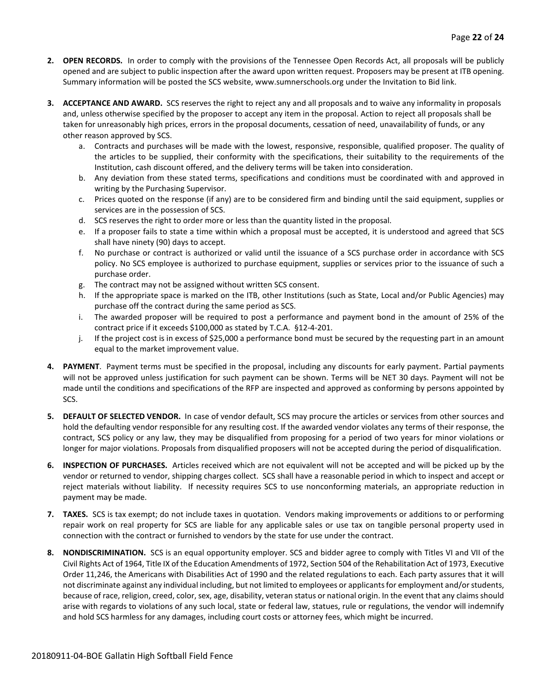- **2. OPEN RECORDS.** In order to comply with the provisions of the Tennessee Open Records Act, all proposals will be publicly opened and are subject to public inspection after the award upon written request. Proposers may be present at ITB opening. Summary information will be posted the SCS website, www.sumnerschools.org under the Invitation to Bid link.
- **3. ACCEPTANCE AND AWARD.** SCS reserves the right to reject any and all proposals and to waive any informality in proposals and, unless otherwise specified by the proposer to accept any item in the proposal. Action to reject all proposals shall be taken for unreasonably high prices, errors in the proposal documents, cessation of need, unavailability of funds, or any other reason approved by SCS.
	- a. Contracts and purchases will be made with the lowest, responsive, responsible, qualified proposer. The quality of the articles to be supplied, their conformity with the specifications, their suitability to the requirements of the Institution, cash discount offered, and the delivery terms will be taken into consideration.
	- b. Any deviation from these stated terms, specifications and conditions must be coordinated with and approved in writing by the Purchasing Supervisor.
	- c. Prices quoted on the response (if any) are to be considered firm and binding until the said equipment, supplies or services are in the possession of SCS.
	- d. SCS reserves the right to order more or less than the quantity listed in the proposal.
	- e. If a proposer fails to state a time within which a proposal must be accepted, it is understood and agreed that SCS shall have ninety (90) days to accept.
	- f. No purchase or contract is authorized or valid until the issuance of a SCS purchase order in accordance with SCS policy. No SCS employee is authorized to purchase equipment, supplies or services prior to the issuance of such a purchase order.
	- g. The contract may not be assigned without written SCS consent.
	- h. If the appropriate space is marked on the ITB, other Institutions (such as State, Local and/or Public Agencies) may purchase off the contract during the same period as SCS.
	- i. The awarded proposer will be required to post a performance and payment bond in the amount of 25% of the contract price if it exceeds \$100,000 as stated by T.C.A. §12-4-201.
	- j. If the project cost is in excess of \$25,000 a performance bond must be secured by the requesting part in an amount equal to the market improvement value.
- **4. PAYMENT**. Payment terms must be specified in the proposal, including any discounts for early payment. Partial payments will not be approved unless justification for such payment can be shown. Terms will be NET 30 days. Payment will not be made until the conditions and specifications of the RFP are inspected and approved as conforming by persons appointed by SCS.
- **5. DEFAULT OF SELECTED VENDOR.** In case of vendor default, SCS may procure the articles or services from other sources and hold the defaulting vendor responsible for any resulting cost. If the awarded vendor violates any terms of their response, the contract, SCS policy or any law, they may be disqualified from proposing for a period of two years for minor violations or longer for major violations. Proposals from disqualified proposers will not be accepted during the period of disqualification.
- **6. INSPECTION OF PURCHASES.** Articles received which are not equivalent will not be accepted and will be picked up by the vendor or returned to vendor, shipping charges collect. SCS shall have a reasonable period in which to inspect and accept or reject materials without liability. If necessity requires SCS to use nonconforming materials, an appropriate reduction in payment may be made.
- **7. TAXES.** SCS is tax exempt; do not include taxes in quotation. Vendors making improvements or additions to or performing repair work on real property for SCS are liable for any applicable sales or use tax on tangible personal property used in connection with the contract or furnished to vendors by the state for use under the contract.
- **8. NONDISCRIMINATION.** SCS is an equal opportunity employer. SCS and bidder agree to comply with Titles VI and VII of the Civil Rights Act of 1964, Title IX of the Education Amendments of 1972, Section 504 of the Rehabilitation Act of 1973, Executive Order 11,246, the Americans with Disabilities Act of 1990 and the related regulations to each. Each party assures that it will not discriminate against any individual including, but not limited to employees or applicants for employment and/or students, because of race, religion, creed, color, sex, age, disability, veteran status or national origin. In the event that any claims should arise with regards to violations of any such local, state or federal law, statues, rule or regulations, the vendor will indemnify and hold SCS harmless for any damages, including court costs or attorney fees, which might be incurred.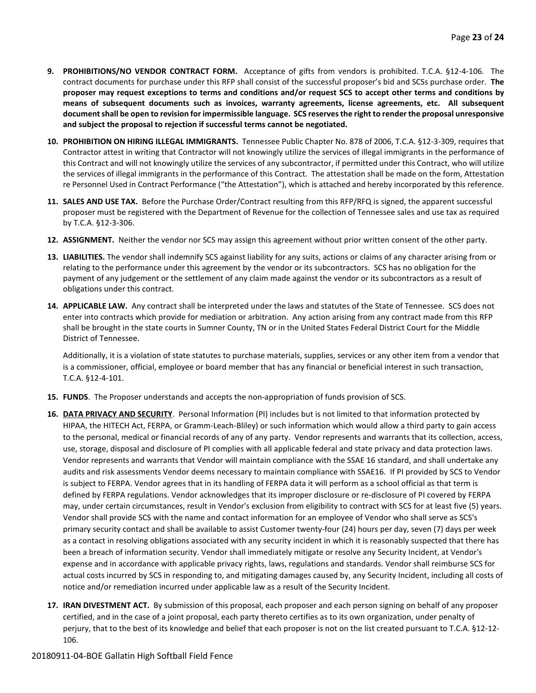- **9. PROHIBITIONS/NO VENDOR CONTRACT FORM.** Acceptance of gifts from vendors is prohibited. T.C.A. §12-4-106. The contract documents for purchase under this RFP shall consist of the successful proposer's bid and SCSs purchase order. **The proposer may request exceptions to terms and conditions and/or request SCS to accept other terms and conditions by means of subsequent documents such as invoices, warranty agreements, license agreements, etc. All subsequent document shall be open to revision for impermissible language. SCS reserves the right to render the proposal unresponsive and subject the proposal to rejection if successful terms cannot be negotiated.**
- **10. PROHIBITION ON HIRING ILLEGAL IMMIGRANTS.** Tennessee Public Chapter No. 878 of 2006, T.C.A. §12-3-309, requires that Contractor attest in writing that Contractor will not knowingly utilize the services of illegal immigrants in the performance of this Contract and will not knowingly utilize the services of any subcontractor, if permitted under this Contract, who will utilize the services of illegal immigrants in the performance of this Contract. The attestation shall be made on the form, Attestation re Personnel Used in Contract Performance ("the Attestation"), which is attached and hereby incorporated by this reference.
- **11. SALES AND USE TAX.** Before the Purchase Order/Contract resulting from this RFP/RFQ is signed, the apparent successful proposer must be registered with the Department of Revenue for the collection of Tennessee sales and use tax as required by T.C.A. §12-3-306.
- **12. ASSIGNMENT.** Neither the vendor nor SCS may assign this agreement without prior written consent of the other party.
- **13. LIABILITIES.** The vendor shall indemnify SCS against liability for any suits, actions or claims of any character arising from or relating to the performance under this agreement by the vendor or its subcontractors. SCS has no obligation for the payment of any judgement or the settlement of any claim made against the vendor or its subcontractors as a result of obligations under this contract.
- **14. APPLICABLE LAW.** Any contract shall be interpreted under the laws and statutes of the State of Tennessee. SCS does not enter into contracts which provide for mediation or arbitration. Any action arising from any contract made from this RFP shall be brought in the state courts in Sumner County, TN or in the United States Federal District Court for the Middle District of Tennessee.

Additionally, it is a violation of state statutes to purchase materials, supplies, services or any other item from a vendor that is a commissioner, official, employee or board member that has any financial or beneficial interest in such transaction, T.C.A. §12-4-101.

- **15. FUNDS**. The Proposer understands and accepts the non-appropriation of funds provision of SCS.
- **16. DATA PRIVACY AND SECURITY**. Personal Information (PI) includes but is not limited to that information protected by HIPAA, the HITECH Act, FERPA, or Gramm-Leach-Bliley) or such information which would allow a third party to gain access to the personal, medical or financial records of any of any party. Vendor represents and warrants that its collection, access, use, storage, disposal and disclosure of PI complies with all applicable federal and state privacy and data protection laws. Vendor represents and warrants that Vendor will maintain compliance with the SSAE 16 standard, and shall undertake any audits and risk assessments Vendor deems necessary to maintain compliance with SSAE16. If PI provided by SCS to Vendor is subject to FERPA. Vendor agrees that in its handling of FERPA data it will perform as a school official as that term is defined by FERPA regulations. Vendor acknowledges that its improper disclosure or re-disclosure of PI covered by FERPA may, under certain circumstances, result in Vendor's exclusion from eligibility to contract with SCS for at least five (5) years. Vendor shall provide SCS with the name and contact information for an employee of Vendor who shall serve as SCS's primary security contact and shall be available to assist Customer twenty-four (24) hours per day, seven (7) days per week as a contact in resolving obligations associated with any security incident in which it is reasonably suspected that there has been a breach of information security. Vendor shall immediately mitigate or resolve any Security Incident, at Vendor's expense and in accordance with applicable privacy rights, laws, regulations and standards. Vendor shall reimburse SCS for actual costs incurred by SCS in responding to, and mitigating damages caused by, any Security Incident, including all costs of notice and/or remediation incurred under applicable law as a result of the Security Incident.
- **17. IRAN DIVESTMENT ACT.** By submission of this proposal, each proposer and each person signing on behalf of any proposer certified, and in the case of a joint proposal, each party thereto certifies as to its own organization, under penalty of perjury, that to the best of its knowledge and belief that each proposer is not on the list created pursuant to T.C.A. §12-12- 106.

#### 20180911-04-BOE Gallatin High Softball Field Fence